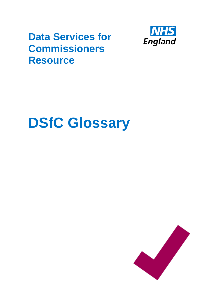## **Data Services for Commissioners Resource**



## **DSfC Glossary**

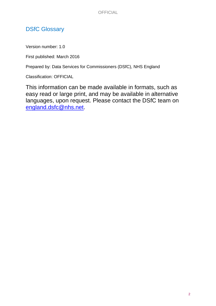## DSfC Glossary

Version number: 1.0

First published: March 2016

Prepared by: Data Services for Commissioners (DSfC), NHS England

Classification: OFFICIAL

This information can be made available in formats, such as easy read or large print, and may be available in alternative languages, upon request. Please contact the DSfC team on [england.dsfc@nhs.net.](england.dsfc@nhs.net)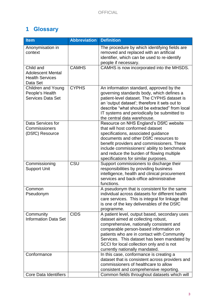## **1 Glossary**

| <b>Item</b>                                                                 | <b>Abbreviation</b> | <b>Definition</b>                                                                                                                                                                                                                                                                                                                                      |
|-----------------------------------------------------------------------------|---------------------|--------------------------------------------------------------------------------------------------------------------------------------------------------------------------------------------------------------------------------------------------------------------------------------------------------------------------------------------------------|
| Anonymisation in<br>context                                                 |                     | The procedure by which identifying fields are<br>removed and replaced with an artificial<br>identifier, which can be used to re-identify<br>people if necessary.                                                                                                                                                                                       |
| Child and<br><b>Adolescent Mental</b><br><b>Health Services</b><br>Data Set | <b>CAMHS</b>        | CAMHS is now incorporated into the MHSDS.                                                                                                                                                                                                                                                                                                              |
| <b>Children and Young</b><br>People's Health<br><b>Services Data Set</b>    | <b>CYPHS</b>        | An information standard, approved by the<br>governing standards body, which defines a<br>patient-level dataset. The CYPHS dataset is<br>an 'output dataset'; therefore it sets out to<br>describe "what should be extracted" from local<br>IT systems and periodically be submitted to<br>the central data warehouse.                                  |
| Data Services for<br>Commissioners<br>(DSfC) Resource                       |                     | Resource on NHS England's DSfC website<br>that will host conformed dataset<br>specifications, associated guidance<br>documents and other DSfC resources to<br>benefit providers and commissioners. These<br>include commissioners' ability to benchmark<br>and reduce the burden of flowing multiple<br>specifications for similar purposes.           |
| Commissioning<br><b>Support Unit</b>                                        | CSU                 | Support commissioners to discharge their<br>responsibilities by providing business<br>intelligence, health and clinical procurement<br>services and back-office administrative<br>functions.                                                                                                                                                           |
| Common<br>Pseudonym                                                         |                     | A pseudonym that is consistent for the same<br>individual across datasets for different health<br>care services. This is integral for linkage that<br>is one of the key deliverables of the DSfC<br>programme.                                                                                                                                         |
| Community<br><b>Information Data Set</b>                                    | CIDS                | A patient level, output based, secondary uses<br>dataset aimed at collecting robust,<br>comprehensive, nationally consistent and<br>comparable person-based information on<br>patients who are in contact with Community<br>Services. This dataset has been mandated by<br>SCCI for local collection only and is not<br>currently nationally mandated. |
| Conformance                                                                 |                     | In this case, conformance is creating a<br>dataset that is consistent across providers and<br>commissioners of healthcare to allow<br>consistent and comprehensive reporting.                                                                                                                                                                          |
| Core Data Identifiers                                                       |                     | Common fields throughout datasets which will                                                                                                                                                                                                                                                                                                           |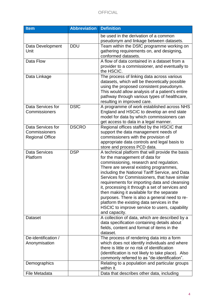| <b>Item</b>            | <b>Abbreviation</b> | <b>Definition</b>                                                                         |
|------------------------|---------------------|-------------------------------------------------------------------------------------------|
|                        |                     | be used in the derivation of a common                                                     |
|                        |                     | pseudonym and linkage between datasets.                                                   |
| Data Development       | <b>DDU</b>          | Team within the DSfC programme working on                                                 |
| Unit                   |                     | gathering requirements on, and designing,                                                 |
|                        |                     | conformed datasets.                                                                       |
| Data Flow              |                     | A flow of data contained in a dataset from a                                              |
|                        |                     | provider to a commissioner, and eventually to                                             |
|                        |                     | the HSCIC.                                                                                |
| Data Linkage           |                     | The process of linking data across various                                                |
|                        |                     | datasets, which will be theoretically possible                                            |
|                        |                     | using the proposed consistent pseudonym.                                                  |
|                        |                     | This would allow analysis of a patient's entire                                           |
|                        |                     | pathway through various types of healthcare,                                              |
|                        |                     | resulting in improved care.                                                               |
| Data Services for      | <b>DSfC</b>         | A programme of work established across NHS                                                |
| Commissioners          |                     | England and HSCIC to develop an end state                                                 |
|                        |                     | model for data by which commissioners can                                                 |
|                        |                     | get access to data in a legal manner.                                                     |
| Data Services for      | <b>DSCRO</b>        | Regional offices staffed by the HSCIC that                                                |
| Commissioners          |                     | support the data management needs of                                                      |
| <b>Regional Office</b> |                     | commissioners with the provision of                                                       |
|                        |                     | appropriate data controls and legal basis to                                              |
|                        |                     | store and process PCD data.                                                               |
| <b>Data Services</b>   | <b>DSP</b>          | A technical platform that will provide the basis                                          |
| Platform               |                     | for the management of data for                                                            |
|                        |                     | commissioning, research and regulation.                                                   |
|                        |                     | There are several existing programmes,                                                    |
|                        |                     | including the National Tariff Service, and Data                                           |
|                        |                     | Services for Commissioners, that have similar                                             |
|                        |                     | requirements for importing data and cleansing                                             |
|                        |                     | it, processing it through a set of services and                                           |
|                        |                     | then making it available for the separate                                                 |
|                        |                     | purposes. There is also a general need to re-                                             |
|                        |                     | platform the existing data services in the                                                |
|                        |                     | HSCIC to improve service to users, capability                                             |
|                        |                     | and capacity.                                                                             |
| <b>Dataset</b>         |                     | A collection of data, which are described by a                                            |
|                        |                     | data specification containing details about<br>fields, content and format of items in the |
|                        |                     | dataset.                                                                                  |
| De-identification /    |                     | The process of rendering data into a form                                                 |
| Anonymisation          |                     | which does not identify individuals and where                                             |
|                        |                     | there is little or no risk of identification                                              |
|                        |                     | (identification is not likely to take place). Also                                        |
|                        |                     | commonly referred to as "de-identification".                                              |
| Demographics           |                     | Relating to a population and particular groups                                            |
|                        |                     | within it.                                                                                |
| File Metadata          |                     | Data that describes other data, including                                                 |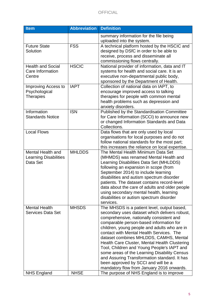| <b>Item</b>                  | <b>Abbreviation</b> | <b>Definition</b>                               |
|------------------------------|---------------------|-------------------------------------------------|
|                              |                     | summary information for the file being          |
|                              |                     | uploaded into the system.                       |
| <b>Future State</b>          | <b>FSS</b>          | A technical platform hosted by the HSCIC and    |
| Solution                     |                     | designed by DSfC in order to be able to         |
|                              |                     | receive, process and disseminate all            |
|                              |                     | commissioning flows centrally.                  |
| <b>Health and Social</b>     | <b>HSCIC</b>        | National provider of information, data and IT   |
| Care Information             |                     | systems for health and social care. It is an    |
| Centre                       |                     | executive non-departmental public body,         |
|                              |                     | sponsored by the Department of Health.          |
| Improving Access to          | <b>IAPT</b>         | Collection of national data on IAPT, to         |
| Psychological                |                     | encourage improved access to talking            |
| <b>Therapies</b>             |                     | therapies for people with common mental         |
|                              |                     | health problems such as depression and          |
|                              |                     | anxiety disorders.                              |
| Information                  | <b>ISN</b>          | Published by the Standardisation Committee      |
| <b>Standards Notice</b>      |                     | for Care Information (SCCI) to announce new     |
|                              |                     | or changed Information Standards and Data       |
|                              |                     | Collections.                                    |
| <b>Local Flows</b>           |                     | Data flows that are only used by local          |
|                              |                     | organisations for local purposes and do not     |
|                              |                     | follow national standards for the most part;    |
|                              |                     | this increases the reliance on local expertise. |
| <b>Mental Health and</b>     | <b>MHLDDS</b>       | The Mental Health Minimum Data Set              |
| <b>Learning Disabilities</b> |                     | (MHMDS) was renamed Mental Health and           |
| Data Set                     |                     | Learning Disabilities Data Set (MHLDDS)         |
|                              |                     | following an expansion in scope (from           |
|                              |                     | September 2014) to include learning             |
|                              |                     | disabilities and autism spectrum disorder       |
|                              |                     | patients. The dataset contains record-level     |
|                              |                     | data about the care of adults and older people  |
|                              |                     | using secondary mental health, learning         |
|                              |                     | disabilities or autism spectrum disorder        |
|                              |                     | services.                                       |
| <b>Mental Health</b>         | <b>MHSDS</b>        | The MHSDS is a patient level, output based,     |
| <b>Services Data Set</b>     |                     | secondary uses dataset which delivers robust,   |
|                              |                     | comprehensive, nationally consistent and        |
|                              |                     | comparable person-based information for         |
|                              |                     | children, young people and adults who are in    |
|                              |                     | contact with Mental Health Services. The        |
|                              |                     | dataset combines MHLDDS, CAMHS, Mental          |
|                              |                     | Health Care Cluster, Mental Health Clustering   |
|                              |                     | Tool, Children and Young People's IAPT and      |
|                              |                     | some areas of the Learning Disability Census    |
|                              |                     | and Assuring Transformation standard. It has    |
|                              |                     | been approved by SCCI and will be a             |
|                              |                     | mandatory flow from January 2016 onwards.       |
| <b>NHS England</b>           | <b>NHSE</b>         | The purpose of NHS England is to improve        |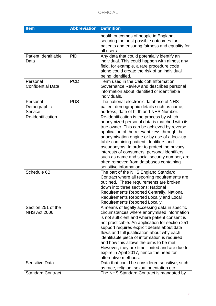| <b>Item</b>                               | <b>Abbreviation Definition</b> |                                                                                                                                                                                                                                                                                                                                                                                                                                                                                                                  |
|-------------------------------------------|--------------------------------|------------------------------------------------------------------------------------------------------------------------------------------------------------------------------------------------------------------------------------------------------------------------------------------------------------------------------------------------------------------------------------------------------------------------------------------------------------------------------------------------------------------|
|                                           |                                | health outcomes of people in England,<br>securing the best possible outcomes for<br>patients and ensuring fairness and equality for<br>all users.                                                                                                                                                                                                                                                                                                                                                                |
| <b>Patient Identifiable</b><br>Data       | <b>PID</b>                     | Any data that could potentially identify an<br>individual. This could happen with almost any<br>field, for example, a rare procedure code<br>alone could create the risk of an individual<br>being identified.                                                                                                                                                                                                                                                                                                   |
| Personal<br><b>Confidential Data</b>      | <b>PCD</b>                     | Term used in the Caldicott Information<br>Governance Review and describes personal<br>information about identified or identifiable<br>individuals.                                                                                                                                                                                                                                                                                                                                                               |
| Personal<br>Demographic<br>Service        | <b>PDS</b>                     | The national electronic database of NHS<br>patient demographic details such as name,<br>address, date of birth and NHS Number.                                                                                                                                                                                                                                                                                                                                                                                   |
| Re-identification                         |                                | Re-identification is the process by which<br>anonymized personal data is matched with its<br>true owner. This can be achieved by reverse<br>application of the relevant keys through the<br>anonymisation engine or by use of a look-up<br>table containing patient identifiers and<br>pseudonyms. In order to protect the privacy<br>interests of consumers, personal identifiers,<br>such as name and social security number, are<br>often removed from databases containing<br>sensitive information.         |
| Schedule 6B                               |                                | The part of the NHS England Standard<br>Contract where all reporting requirements are<br>outlined. These requirements are broken<br>down into three sections; National<br><b>Requirements Reported Centrally, National</b><br>Requirements Reported Locally and Local<br>Requirements Reported Locally.                                                                                                                                                                                                          |
| Section 251 of the<br><b>NHS Act 2006</b> |                                | A means of legally accessing data in specific<br>circumstances where anonymised information<br>is not sufficient and where patient consent is<br>not practicable. An application for section 251<br>support requires explicit details about data<br>flows and full justification about why each<br>identifiable piece of information is required<br>and how this allows the aims to be met.<br>However, they are time limited and are due to<br>expire in April 2017, hence the need for<br>alternative methods. |
| <b>Sensitive Data</b>                     |                                | Data that could be considered sensitive, such<br>as race, religion, sexual orientation etc.                                                                                                                                                                                                                                                                                                                                                                                                                      |
| <b>Standard Contract</b>                  |                                | The NHS Standard Contract is mandated by                                                                                                                                                                                                                                                                                                                                                                                                                                                                         |